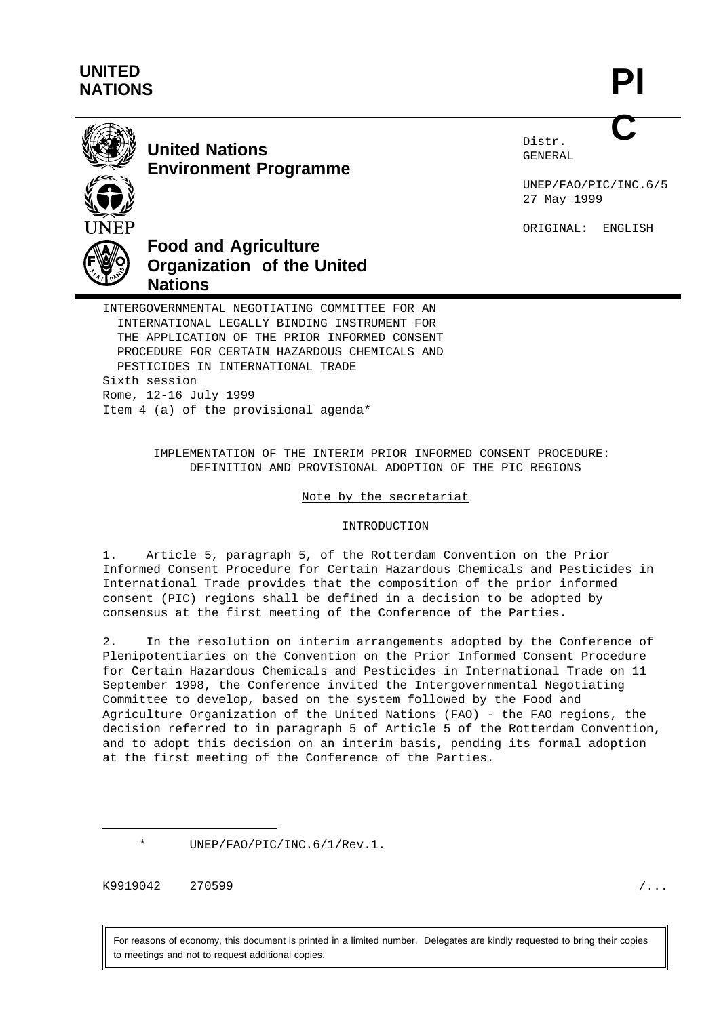# **UNITED NATIONS**

**PI C**



**United Nations Environment Programme** Distr. GENERAL

UNEP/FAO/PIC/INC.6/5 27 May 1999

ORIGINAL: ENGLISH



# **Food and Agriculture Organization of the United Nations**

INTERGOVERNMENTAL NEGOTIATING COMMITTEE FOR AN INTERNATIONAL LEGALLY BINDING INSTRUMENT FOR THE APPLICATION OF THE PRIOR INFORMED CONSENT PROCEDURE FOR CERTAIN HAZARDOUS CHEMICALS AND PESTICIDES IN INTERNATIONAL TRADE Sixth session Rome, 12-16 July 1999 Item 4 (a) of the provisional agenda\*

> IMPLEMENTATION OF THE INTERIM PRIOR INFORMED CONSENT PROCEDURE: DEFINITION AND PROVISIONAL ADOPTION OF THE PIC REGIONS

#### Note by the secretariat

#### INTRODUCTION

1. Article 5, paragraph 5, of the Rotterdam Convention on the Prior Informed Consent Procedure for Certain Hazardous Chemicals and Pesticides in International Trade provides that the composition of the prior informed consent (PIC) regions shall be defined in a decision to be adopted by consensus at the first meeting of the Conference of the Parties.

2. In the resolution on interim arrangements adopted by the Conference of Plenipotentiaries on the Convention on the Prior Informed Consent Procedure for Certain Hazardous Chemicals and Pesticides in International Trade on 11 September 1998, the Conference invited the Intergovernmental Negotiating Committee to develop, based on the system followed by the Food and Agriculture Organization of the United Nations (FAO) - the FAO regions, the decision referred to in paragraph 5 of Article 5 of the Rotterdam Convention, and to adopt this decision on an interim basis, pending its formal adoption at the first meeting of the Conference of the Parties.

UNEP/FAO/PIC/INC.6/1/Rev.1.

K9919042 270599 /...

For reasons of economy, this document is printed in a limited number. Delegates are kindly requested to bring their copies to meetings and not to request additional copies.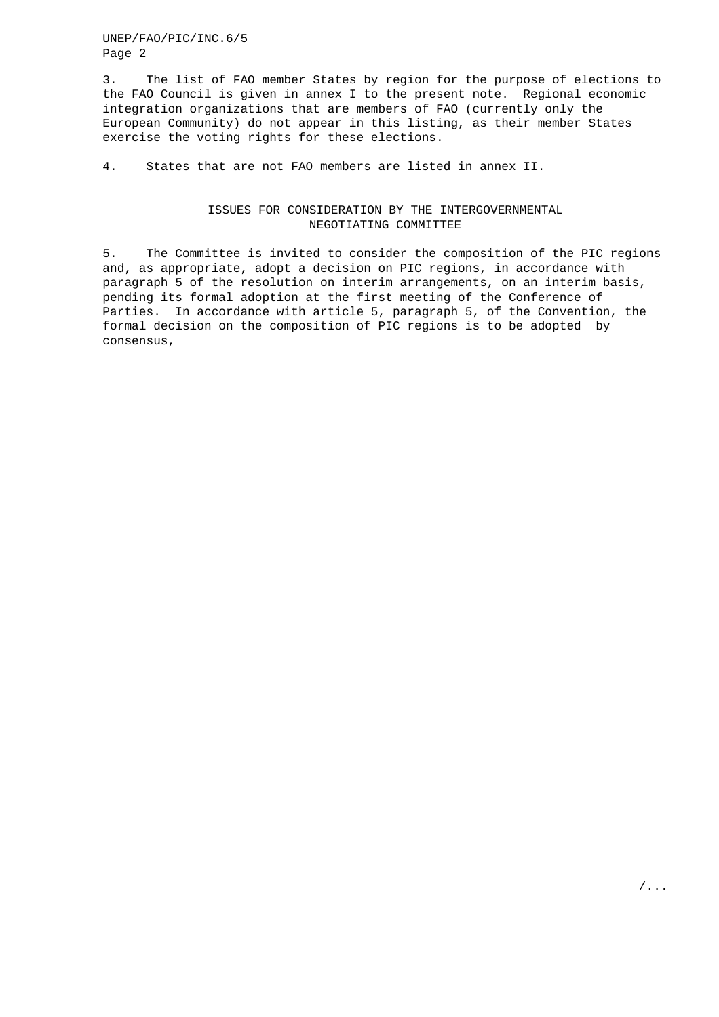UNEP/FAO/PIC/INC.6/5 Page 2

3. The list of FAO member States by region for the purpose of elections to the FAO Council is given in annex I to the present note. Regional economic integration organizations that are members of FAO (currently only the European Community) do not appear in this listing, as their member States exercise the voting rights for these elections.

4. States that are not FAO members are listed in annex II.

#### ISSUES FOR CONSIDERATION BY THE INTERGOVERNMENTAL NEGOTIATING COMMITTEE

5. The Committee is invited to consider the composition of the PIC regions and, as appropriate, adopt a decision on PIC regions, in accordance with paragraph 5 of the resolution on interim arrangements, on an interim basis, pending its formal adoption at the first meeting of the Conference of Parties. In accordance with article 5, paragraph 5, of the Convention, the formal decision on the composition of PIC regions is to be adopted by consensus,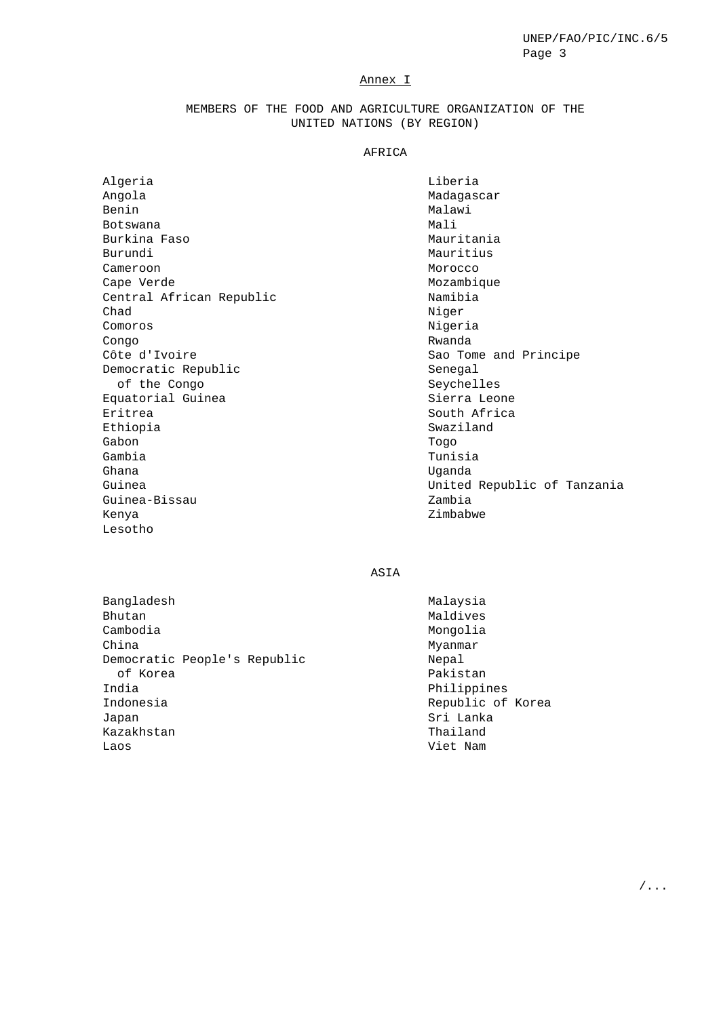### Annex I

## MEMBERS OF THE FOOD AND AGRICULTURE ORGANIZATION OF THE UNITED NATIONS (BY REGION)

### AFRICA

| Algeria                  | Liberia                     |
|--------------------------|-----------------------------|
| Angola                   | Madagascar                  |
| Benin                    | Malawi                      |
| Botswana                 | Mali                        |
| Burkina Faso             | Mauritania                  |
| Burundi                  | Mauritius                   |
| Cameroon                 | Morocco                     |
| Cape Verde               | Mozambique                  |
| Central African Republic | Namibia                     |
| Chad                     | Niger                       |
| Comoros                  | Nigeria                     |
| Congo                    | Rwanda                      |
| Côte d'Ivoire            | Sao Tome and Principe       |
| Democratic Republic      | Senegal                     |
| of the Congo             | Seychelles                  |
| Equatorial Guinea        | Sierra Leone                |
| Eritrea                  | South Africa                |
| Ethiopia                 | Swaziland                   |
| Gabon                    | Togo                        |
| Gambia                   | Tunisia                     |
| Ghana                    | Uqanda                      |
| Guinea                   | United Republic of Tanzania |
| Guinea-Bissau            | Zambia                      |
| Kenya                    | Zimbabwe                    |

ASIA

Bangladesh Bhutan Cambodia China Democratic People's Republic of Korea India Indonesia Japan Kazakhstan Laos

Lesotho

Malaysia Maldives Mongolia Myanmar Nepal Pakistan Philippines Republic of Korea Sri Lanka Thailand Viet Nam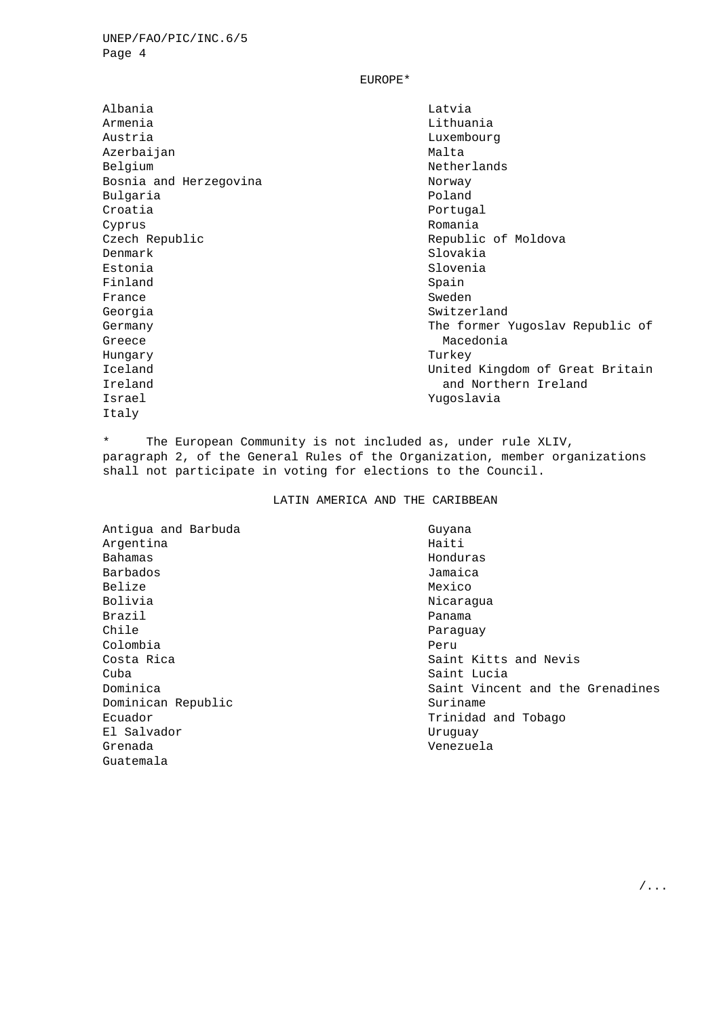UNEP/FAO/PIC/INC.6/5 Page 4

EUROPE\*

Albania Armenia Austria Azerbaijan Belgium Bosnia and Herzegovina Bulgaria Croatia Cyprus Czech Republic Denmark Estonia Finland France Georgia Germany Greece Hungary Iceland Ireland Israel Italy

Latvia Lithuania Luxembourg Malta Netherlands Norway Poland Portugal Romania Republic of Moldova Slovakia Slovenia Spain Sweden Switzerland The former Yugoslav Republic of Macedonia Turkey United Kingdom of Great Britain and Northern Ireland Yugoslavia

\* The European Community is not included as, under rule XLIV, paragraph 2, of the General Rules of the Organization, member organizations shall not participate in voting for elections to the Council.

LATIN AMERICA AND THE CARIBBEAN

Antigua and Barbuda Argentina Bahamas Barbados Belize Bolivia Brazil Chile Colombia Costa Rica Cuba Dominica Dominican Republic Ecuador El Salvador Grenada Guatemala

Guyana Haiti Honduras Jamaica Mexico Nicaragua Panama Paraguay Peru Saint Kitts and Nevis Saint Lucia Saint Vincent and the Grenadines Suriname Trinidad and Tobago Uruguay Venezuela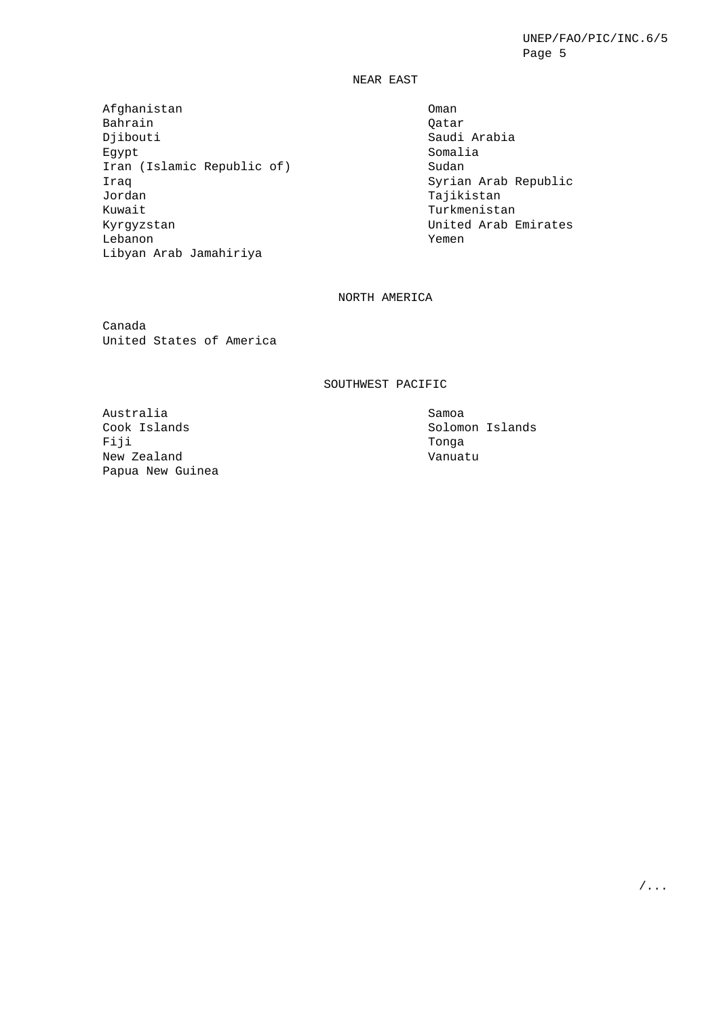NEAR EAST

Afghanistan Bahrain Djibouti Egypt Iran (Islamic Republic of) Iraq Jordan Kuwait Kyrgyzstan Lebanon Libyan Arab Jamahiriya

Oman Qatar Saudi Arabia Somalia Sudan Syrian Arab Republic Tajikistan Turkmenistan United Arab Emirates Yemen

# NORTH AMERICA

Canada United States of America

#### SOUTHWEST PACIFIC

Australia Cook Islands Fiji New Zealand Papua New Guinea

Samoa Solomon Islands Tonga Vanuatu